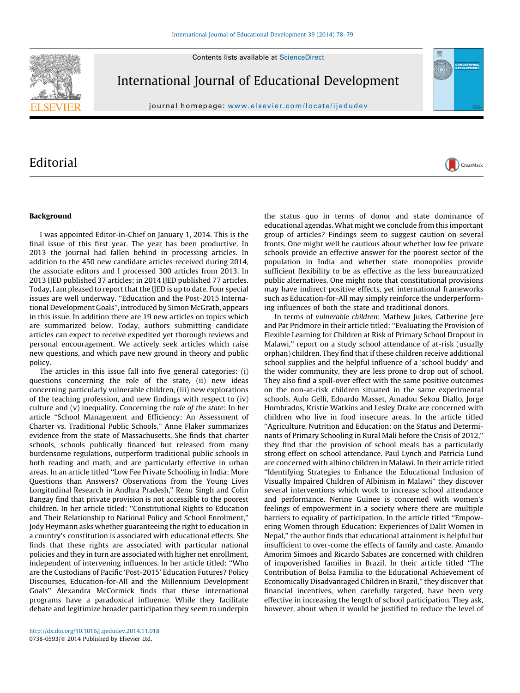Contents lists available at [ScienceDirect](http://www.sciencedirect.com/science/journal/07380593)



International Journal of Educational Development

journal homepage: <www.elsevier.com/locate/ijedudev>

## **Editorial**



## Background

I was appointed Editor-in-Chief on January 1, 2014. This is the final issue of this first year. The year has been productive. In 2013 the journal had fallen behind in processing articles. In addition to the 450 new candidate articles received during 2014, the associate editors and I processed 300 articles from 2013. In 2013 IJED published 37 articles; in 2014 IJED published 77 articles. Today, I am pleased to report that the IJED is up to date. Four special issues are well underway. ''Education and the Post-2015 International Development Goals'', introduced by Simon McGrath, appears in this issue. In addition there are 19 new articles on topics which are summarized below. Today, authors submitting candidate articles can expect to receive expedited yet thorough reviews and personal encouragement. We actively seek articles which raise new questions, and which pave new ground in theory and public policy.

The articles in this issue fall into five general categories: (i) questions concerning the role of the state, (ii) new ideas concerning particularly vulnerable children, (iii) new explorations of the teaching profession, and new findings with respect to (iv) culture and (v) inequality. Concerning the role of the state: In her article ''School Management and Efficiency: An Assessment of Charter vs. Traditional Public Schools,'' Anne Flaker summarizes evidence from the state of Massachusetts. She finds that charter schools, schools publically financed but released from many burdensome regulations, outperform traditional public schools in both reading and math, and are particularly effective in urban areas. In an article titled ''Low Fee Private Schooling in India: More Questions than Answers? Observations from the Young Lives Longitudinal Research in Andhra Pradesh,'' Renu Singh and Colin Bangay find that private provision is not accessible to the poorest children. In her article titled: ''Constitutional Rights to Education and Their Relationship to National Policy and School Enrolment,'' Jody Heymann asks whether guaranteeing the right to education in a country's constitution is associated with educational effects. She finds that these rights are associated with particular national policies and they in turn are associated with higher net enrollment, independent of intervening influences. In her article titled: ''Who are the Custodians of Pacific 'Post-2015' Education Futures? Policy Discourses, Education-for-All and the Millennium Development Goals'' Alexandra McCormick finds that these international programs have a paradoxical influence. While they facilitate debate and legitimize broader participation they seem to underpin

the status quo in terms of donor and state dominance of educational agendas. What might we conclude from this important group of articles? Findings seem to suggest caution on several fronts. One might well be cautious about whether low fee private schools provide an effective answer for the poorest sector of the population in India and whether state monopolies provide sufficient flexibility to be as effective as the less bureaucratized public alternatives. One might note that constitutional provisions may have indirect positive effects, yet international frameworks such as Education-for-All may simply reinforce the underperforming influences of both the state and traditional donors.

In terms of vulnerable children: Mathew Jukes, Catherine Jere and Pat Pridmore in their article titled: ''Evaluating the Provision of Flexible Learning for Children at Risk of Primary School Dropout in Malawi," report on a study school attendance of at-risk (usually orphan) children. They find that if these children receive additional school supplies and the helpful influence of a 'school buddy' and the wider community, they are less prone to drop out of school. They also find a spill-over effect with the same positive outcomes on the non-at-risk children situated in the same experimental schools. Aulo Gelli, Edoardo Masset, Amadou Sekou Diallo, Jorge Hombrados, Kristie Watkins and Lesley Drake are concerned with children who live in food insecure areas. In the article titled ''Agriculture, Nutrition and Education: on the Status and Determinants of Primary Schooling in Rural Mali before the Crisis of 2012,'' they find that the provision of school meals has a particularly strong effect on school attendance. Paul Lynch and Patricia Lund are concerned with albino children in Malawi. In their article titled ''Identifying Strategies to Enhance the Educational Inclusion of Visually Impaired Children of Albinism in Malawi'' they discover several interventions which work to increase school attendance and performance. Nerine Guinee is concerned with women's feelings of empowerment in a society where there are multiple barriers to equality of participation. In the article titled ''Empowering Women through Education: Experiences of Dalit Women in Nepal,'' the author finds that educational attainment is helpful but insufficient to over-come the effects of family and caste. Amando Amorim Simoes and Ricardo Sabates are concerned with children of impoverished families in Brazil. In their article titled ''The Contribution of Bolsa Familia to the Educational Achievement of Economically Disadvantaged Children in Brazil,'' they discover that financial incentives, when carefully targeted, have been very effective in increasing the length of school participation. They ask, however, about when it would be justified to reduce the level of